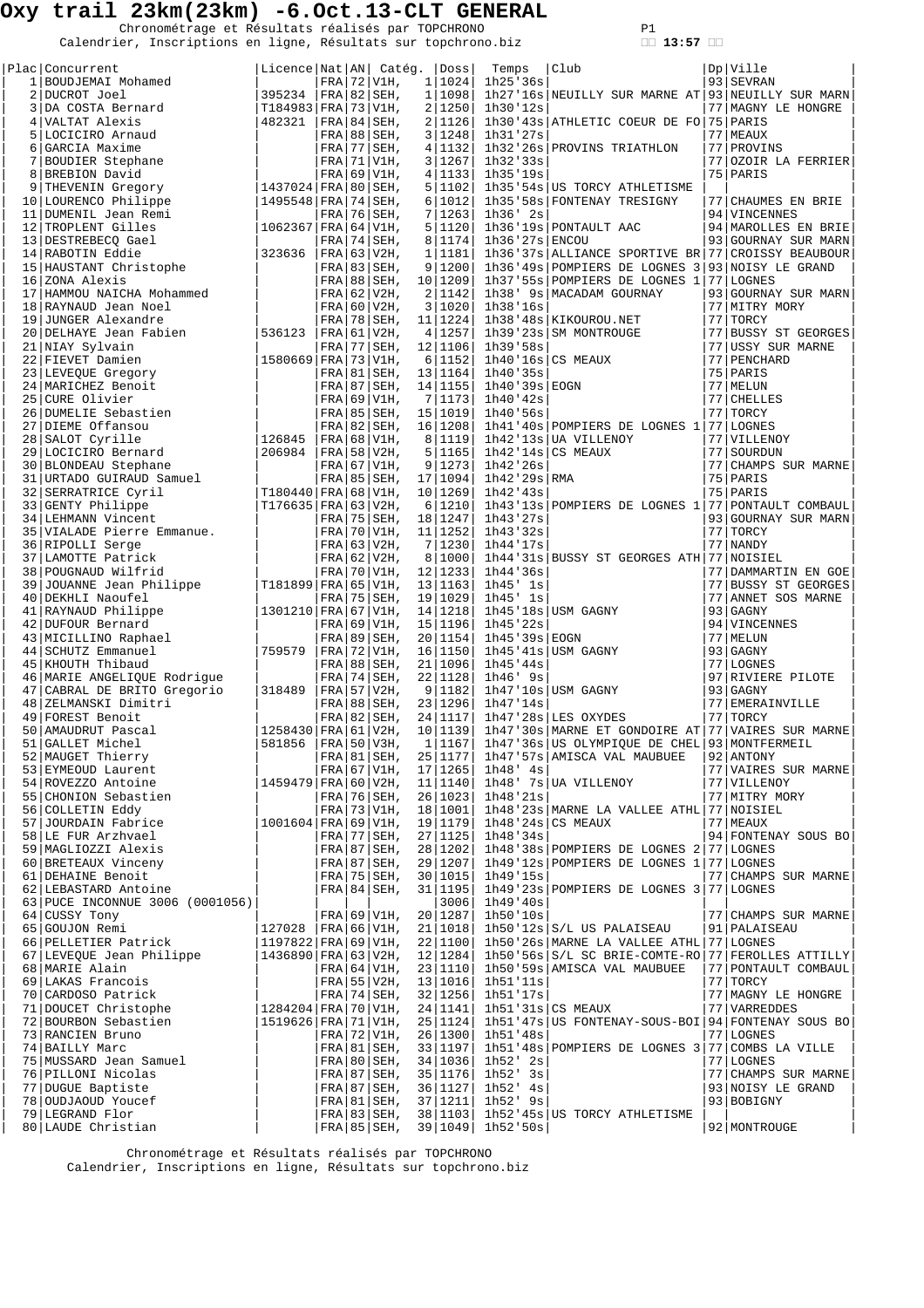Chronométrage et Résultats réalisés par TOPCHRONO P1<br>Calendrier, Inscriptions en ligne, Résultats sur topchrono.biz **13:57** 

| Plac Concurrent                                                                                                                                                                                                                                                                                                                                                                                                                                   | Licence   Nat   AN   Catég.   Doss |  |                           |                   | Temps                             | Club]                                                                                                                                                                                                                                          | Dp Ville                                 |
|---------------------------------------------------------------------------------------------------------------------------------------------------------------------------------------------------------------------------------------------------------------------------------------------------------------------------------------------------------------------------------------------------------------------------------------------------|------------------------------------|--|---------------------------|-------------------|-----------------------------------|------------------------------------------------------------------------------------------------------------------------------------------------------------------------------------------------------------------------------------------------|------------------------------------------|
|                                                                                                                                                                                                                                                                                                                                                                                                                                                   |                                    |  | $FRA$ 72 V1H,             | 1 1024            | $1h25$ '36 $s$                    |                                                                                                                                                                                                                                                | 93 SEVRAN                                |
|                                                                                                                                                                                                                                                                                                                                                                                                                                                   |                                    |  |                           |                   |                                   | $1 1098 $ 1h27'16s NEUILLY SUR MARNE AT 93 NEUILLY SUR MARN                                                                                                                                                                                    |                                          |
|                                                                                                                                                                                                                                                                                                                                                                                                                                                   |                                    |  |                           | 2 1250            | 1h30'12s                          |                                                                                                                                                                                                                                                | 77   MAGNY LE HONGRE                     |
|                                                                                                                                                                                                                                                                                                                                                                                                                                                   |                                    |  |                           | 2 1126            |                                   | 1h30'43s ATHLETIC COEUR DE FO 75 PARIS                                                                                                                                                                                                         |                                          |
|                                                                                                                                                                                                                                                                                                                                                                                                                                                   |                                    |  |                           | 3 1248 <br>4 1132 | 1h31'27s                          | 1h32'26s PROVINS TRIATHLON                                                                                                                                                                                                                     | 77 MEAUX<br>77 PROVINS                   |
|                                                                                                                                                                                                                                                                                                                                                                                                                                                   |                                    |  |                           | 3 1267            | 1h32'33s                          |                                                                                                                                                                                                                                                | 77 OZOIR LA FERRIER                      |
|                                                                                                                                                                                                                                                                                                                                                                                                                                                   |                                    |  |                           | 4 1133            | 1h35'19s                          |                                                                                                                                                                                                                                                | 75   PARIS                               |
|                                                                                                                                                                                                                                                                                                                                                                                                                                                   |                                    |  |                           | 5 1102            |                                   | 1h35'54s US TORCY ATHLETISME                                                                                                                                                                                                                   |                                          |
|                                                                                                                                                                                                                                                                                                                                                                                                                                                   |                                    |  |                           | 6 1012            |                                   | 1h35'58s FONTENAY TRESIGNY                                                                                                                                                                                                                     | 77 CHAUMES EN BRIE                       |
|                                                                                                                                                                                                                                                                                                                                                                                                                                                   |                                    |  |                           | 7 1263            | 1h36' 2s                          |                                                                                                                                                                                                                                                | 94 VINCENNES                             |
|                                                                                                                                                                                                                                                                                                                                                                                                                                                   |                                    |  |                           | 5 1120            |                                   | 1h36'19s PONTAULT AAC                                                                                                                                                                                                                          | 94   MAROLLES EN BRIE                    |
|                                                                                                                                                                                                                                                                                                                                                                                                                                                   |                                    |  |                           | 8 1174            | 1h36'27s ENCOU                    |                                                                                                                                                                                                                                                | 93 GOURNAY SUR MARN                      |
|                                                                                                                                                                                                                                                                                                                                                                                                                                                   |                                    |  |                           | 1 1181            |                                   | 1h36'37s ALLIANCE SPORTIVE BR 77 CROISSY BEAUBOUR                                                                                                                                                                                              |                                          |
|                                                                                                                                                                                                                                                                                                                                                                                                                                                   |                                    |  |                           | 9 1200            |                                   | 1h36'49s POMPIERS DE LOGNES 3 93 NOISY LE GRAND                                                                                                                                                                                                |                                          |
|                                                                                                                                                                                                                                                                                                                                                                                                                                                   |                                    |  |                           |                   |                                   | $ FRA 88 SEH$ , 10 1209 1h37'55s POMPIERS DE LOGNES 1 77 LOGNES                                                                                                                                                                                |                                          |
|                                                                                                                                                                                                                                                                                                                                                                                                                                                   |                                    |  |                           | 2 1142            |                                   | 1h38' 9s MACADAM GOURNAY                                                                                                                                                                                                                       | 93 GOURNAY SUR MARN                      |
|                                                                                                                                                                                                                                                                                                                                                                                                                                                   |                                    |  |                           | 3 1020            | 1h38'16s                          |                                                                                                                                                                                                                                                | 77 MITRY MORY                            |
|                                                                                                                                                                                                                                                                                                                                                                                                                                                   |                                    |  | FRA   78   SEH, 11   1224 |                   |                                   |                                                                                                                                                                                                                                                | 77 TORCY                                 |
|                                                                                                                                                                                                                                                                                                                                                                                                                                                   |                                    |  | $FRA$ 77 SEH, 12 1106     | 4   1257          | 1h39.58s                          | 1h38'48s   KIKOUROU.NET<br>1h39'23s   SM MONTROUGE<br>1h39'58s                                                                                                                                                                                 | 77 BUSSY ST GEORGES<br>77 USSY SUR MARNE |
|                                                                                                                                                                                                                                                                                                                                                                                                                                                   |                                    |  |                           | 6 1152            |                                   |                                                                                                                                                                                                                                                | 77   PENCHARD                            |
|                                                                                                                                                                                                                                                                                                                                                                                                                                                   |                                    |  | FRA 81 SEH, 13   1164     |                   | 1h40'35s                          | $1h40'16s$ CS MEAUX                                                                                                                                                                                                                            | 75 PARIS                                 |
|                                                                                                                                                                                                                                                                                                                                                                                                                                                   |                                    |  | FRA 87 SEH, 14 1155       |                   |                                   |                                                                                                                                                                                                                                                | 77   MELUN                               |
|                                                                                                                                                                                                                                                                                                                                                                                                                                                   |                                    |  |                           | 7   1173          |                                   | 1h40'39s EOGN<br>1h40'42s                                                                                                                                                                                                                      | 77 CHELLES                               |
|                                                                                                                                                                                                                                                                                                                                                                                                                                                   |                                    |  | FRA 85   SEH, 15   1019   |                   | 1h40'56s                          |                                                                                                                                                                                                                                                | 77 TORCY                                 |
|                                                                                                                                                                                                                                                                                                                                                                                                                                                   |                                    |  |                           | 16   1208         |                                   | 1h41'40s POMPIERS DE LOGNES 1 77 LOGNES                                                                                                                                                                                                        |                                          |
|                                                                                                                                                                                                                                                                                                                                                                                                                                                   |                                    |  |                           |                   |                                   | 8 1119 1h42 13s UA VILLENOY                                                                                                                                                                                                                    | 77 VILLENOY                              |
|                                                                                                                                                                                                                                                                                                                                                                                                                                                   |                                    |  |                           | 5 1165            |                                   | 1h42'14s CS MEAUX<br>1h42'26s<br>1h42'29s RMA<br>1h42'43s                                                                                                                                                                                      | 77 SOURDUN                               |
|                                                                                                                                                                                                                                                                                                                                                                                                                                                   |                                    |  |                           | 9 1273            |                                   |                                                                                                                                                                                                                                                | 77 CHAMPS SUR MARNE                      |
|                                                                                                                                                                                                                                                                                                                                                                                                                                                   |                                    |  | FRA 85 SEH, 17   1094     |                   |                                   |                                                                                                                                                                                                                                                | 75 PARIS                                 |
|                                                                                                                                                                                                                                                                                                                                                                                                                                                   |                                    |  |                           | 10 1269           | 1h42'43s                          |                                                                                                                                                                                                                                                | 75   PARIS                               |
|                                                                                                                                                                                                                                                                                                                                                                                                                                                   |                                    |  |                           | 6 1210            |                                   | $1h43'13s$ POMPIERS DE LOGNES $1/77$ PONTAULT COMBAUL                                                                                                                                                                                          |                                          |
|                                                                                                                                                                                                                                                                                                                                                                                                                                                   |                                    |  | FRA 70 V1H, 11 1252       | 18   1247         | 1h43'27s<br>1h43'32s              |                                                                                                                                                                                                                                                | 93 GOURNAY SUR MARN<br>77 TORCY          |
|                                                                                                                                                                                                                                                                                                                                                                                                                                                   |                                    |  |                           | 7 1230            | 1h44'17s                          |                                                                                                                                                                                                                                                | 77   NANDY                               |
|                                                                                                                                                                                                                                                                                                                                                                                                                                                   |                                    |  |                           | 8   1000          |                                   | 1h44'31s BUSSY ST GEORGES ATH 77 NOISIEL                                                                                                                                                                                                       |                                          |
|                                                                                                                                                                                                                                                                                                                                                                                                                                                   |                                    |  | FRA   70   V1H, 12   1233 |                   | 1h44'36s                          |                                                                                                                                                                                                                                                | 77 DAMMARTIN EN GOE                      |
| $\begin{tabular}{c c c c} \multicolumn{1}{c}{20 DELHAVF Jean Fabien} & \multicolumn{1}{c}{536123} & \multicolumn{1}{c}{\begin{tabular}{ c c c c c } \hline \multicolumn{1}{c}{21 HAYF} \hline \multicolumn{1}{c}{22 EVEQUE Greenien} \\ \hline \multicolumn{1}{c}{23 LEVEQUE Gregory} \\ \hline \multicolumn{1}{c}{24 MARTCHEZ Benoit} & \multicolumn{1}{c}{536123} & \multicolumn{1}{c}{\begin{tabular}{ c c } \hline \multicolumn{1}{c}{\begin$ |                                    |  |                           | 13 1163           | 1h45' 1s                          |                                                                                                                                                                                                                                                | 77 BUSSY ST GEORGES                      |
|                                                                                                                                                                                                                                                                                                                                                                                                                                                   |                                    |  |                           |                   | lh45' 1s                          |                                                                                                                                                                                                                                                | 77 ANNET SOS MARNE                       |
| $\begin{tabular}{c c c c c} \multicolumn{1}{c}{40 DEKHLI\text{ Naoufel}}} & $\begin{array}{c} \multicolumn{1}{c}{\text{FRA}} & 75 \mid \text{SEH}, & 19 \mid 1029 \mid \\ 41 \mid \text{RAYNAUD} & \text{Philippe} & & 1301210 \mid \text{FRA} & 67 \mid \text{V1H}, & 14 \mid 1218 \mid \\ 42 \mid \text{DUFOUR Bernard} & & $\begin{array}{c} \text{FRA} & 69 \mid \text{V1H}, & 14 \mid 1218 \mid \\ \text{FRA} & 69$                          |                                    |  |                           |                   |                                   | 19   1029   1145 ' 18<br>14   1218   1145 ' 18<br>15   1196   1145 ' 228  <br>20   1154   1145 ' 228   EOGN<br>16   1150   1145 ' 418   USM GAGNY<br>21   1096   1145 ' 448<br>22   1128   1146 ' 98<br>9   1182   1147 ' 108   USM GAGNY<br>2 | 93 GAGNY                                 |
|                                                                                                                                                                                                                                                                                                                                                                                                                                                   |                                    |  |                           |                   |                                   |                                                                                                                                                                                                                                                | 94 VINCENNES                             |
|                                                                                                                                                                                                                                                                                                                                                                                                                                                   |                                    |  |                           |                   |                                   |                                                                                                                                                                                                                                                | 77 MELUN                                 |
|                                                                                                                                                                                                                                                                                                                                                                                                                                                   |                                    |  |                           |                   |                                   |                                                                                                                                                                                                                                                | 93 GAGNY                                 |
|                                                                                                                                                                                                                                                                                                                                                                                                                                                   |                                    |  |                           |                   |                                   |                                                                                                                                                                                                                                                |                                          |
|                                                                                                                                                                                                                                                                                                                                                                                                                                                   |                                    |  |                           |                   |                                   |                                                                                                                                                                                                                                                |                                          |
|                                                                                                                                                                                                                                                                                                                                                                                                                                                   |                                    |  |                           |                   |                                   |                                                                                                                                                                                                                                                |                                          |
|                                                                                                                                                                                                                                                                                                                                                                                                                                                   |                                    |  |                           |                   |                                   |                                                                                                                                                                                                                                                |                                          |
|                                                                                                                                                                                                                                                                                                                                                                                                                                                   |                                    |  |                           |                   |                                   |                                                                                                                                                                                                                                                |                                          |
|                                                                                                                                                                                                                                                                                                                                                                                                                                                   |                                    |  |                           |                   |                                   |                                                                                                                                                                                                                                                |                                          |
|                                                                                                                                                                                                                                                                                                                                                                                                                                                   |                                    |  |                           |                   |                                   |                                                                                                                                                                                                                                                |                                          |
|                                                                                                                                                                                                                                                                                                                                                                                                                                                   |                                    |  |                           |                   |                                   |                                                                                                                                                                                                                                                |                                          |
|                                                                                                                                                                                                                                                                                                                                                                                                                                                   |                                    |  |                           |                   |                                   |                                                                                                                                                                                                                                                |                                          |
|                                                                                                                                                                                                                                                                                                                                                                                                                                                   |                                    |  |                           |                   |                                   |                                                                                                                                                                                                                                                |                                          |
|                                                                                                                                                                                                                                                                                                                                                                                                                                                   |                                    |  |                           |                   |                                   |                                                                                                                                                                                                                                                |                                          |
|                                                                                                                                                                                                                                                                                                                                                                                                                                                   |                                    |  |                           |                   |                                   |                                                                                                                                                                                                                                                |                                          |
|                                                                                                                                                                                                                                                                                                                                                                                                                                                   |                                    |  |                           |                   |                                   |                                                                                                                                                                                                                                                |                                          |
|                                                                                                                                                                                                                                                                                                                                                                                                                                                   |                                    |  |                           |                   |                                   |                                                                                                                                                                                                                                                |                                          |
|                                                                                                                                                                                                                                                                                                                                                                                                                                                   |                                    |  |                           |                   |                                   |                                                                                                                                                                                                                                                |                                          |
| 45   SCUUTZ EMMANET ANGLE (1913) 1914   1911   1911   1914   1914   1914   1914   1914   1914   1914   1914   1914   1914   1914   1914   1914   1914   1914   1914   1914   1914   1914   1914   1914   1914   1914   1914                                                                                                                                                                                                                       |                                    |  |                           |                   |                                   |                                                                                                                                                                                                                                                |                                          |
| 63 PUCE INCONNUE 3006 (0001056)                                                                                                                                                                                                                                                                                                                                                                                                                   |                                    |  |                           |                   | $3006$ 1h49'40s                   |                                                                                                                                                                                                                                                |                                          |
| 64 CUSSY Tony                                                                                                                                                                                                                                                                                                                                                                                                                                     |                                    |  |                           |                   | FRA 69 V1H, 20   1287   1h50 '10s |                                                                                                                                                                                                                                                | 77 CHAMPS SUR MARNE                      |
|                                                                                                                                                                                                                                                                                                                                                                                                                                                   |                                    |  |                           |                   |                                   |                                                                                                                                                                                                                                                |                                          |
|                                                                                                                                                                                                                                                                                                                                                                                                                                                   |                                    |  |                           |                   |                                   |                                                                                                                                                                                                                                                |                                          |
|                                                                                                                                                                                                                                                                                                                                                                                                                                                   |                                    |  |                           |                   |                                   |                                                                                                                                                                                                                                                |                                          |
|                                                                                                                                                                                                                                                                                                                                                                                                                                                   |                                    |  |                           |                   |                                   |                                                                                                                                                                                                                                                |                                          |
|                                                                                                                                                                                                                                                                                                                                                                                                                                                   |                                    |  |                           |                   |                                   |                                                                                                                                                                                                                                                |                                          |
|                                                                                                                                                                                                                                                                                                                                                                                                                                                   |                                    |  |                           |                   |                                   |                                                                                                                                                                                                                                                |                                          |
|                                                                                                                                                                                                                                                                                                                                                                                                                                                   |                                    |  |                           |                   |                                   |                                                                                                                                                                                                                                                |                                          |
|                                                                                                                                                                                                                                                                                                                                                                                                                                                   |                                    |  |                           |                   |                                   |                                                                                                                                                                                                                                                |                                          |
|                                                                                                                                                                                                                                                                                                                                                                                                                                                   |                                    |  |                           |                   |                                   |                                                                                                                                                                                                                                                |                                          |
|                                                                                                                                                                                                                                                                                                                                                                                                                                                   |                                    |  |                           |                   |                                   |                                                                                                                                                                                                                                                |                                          |
|                                                                                                                                                                                                                                                                                                                                                                                                                                                   |                                    |  |                           |                   |                                   |                                                                                                                                                                                                                                                |                                          |
|                                                                                                                                                                                                                                                                                                                                                                                                                                                   |                                    |  |                           |                   |                                   |                                                                                                                                                                                                                                                |                                          |
|                                                                                                                                                                                                                                                                                                                                                                                                                                                   |                                    |  |                           |                   |                                   |                                                                                                                                                                                                                                                |                                          |
|                                                                                                                                                                                                                                                                                                                                                                                                                                                   |                                    |  |                           |                   |                                   |                                                                                                                                                                                                                                                |                                          |
|                                                                                                                                                                                                                                                                                                                                                                                                                                                   |                                    |  |                           |                   |                                   |                                                                                                                                                                                                                                                |                                          |

 Chronométrage et Résultats réalisés par TOPCHRONO Calendrier, Inscriptions en ligne, Résultats sur topchrono.biz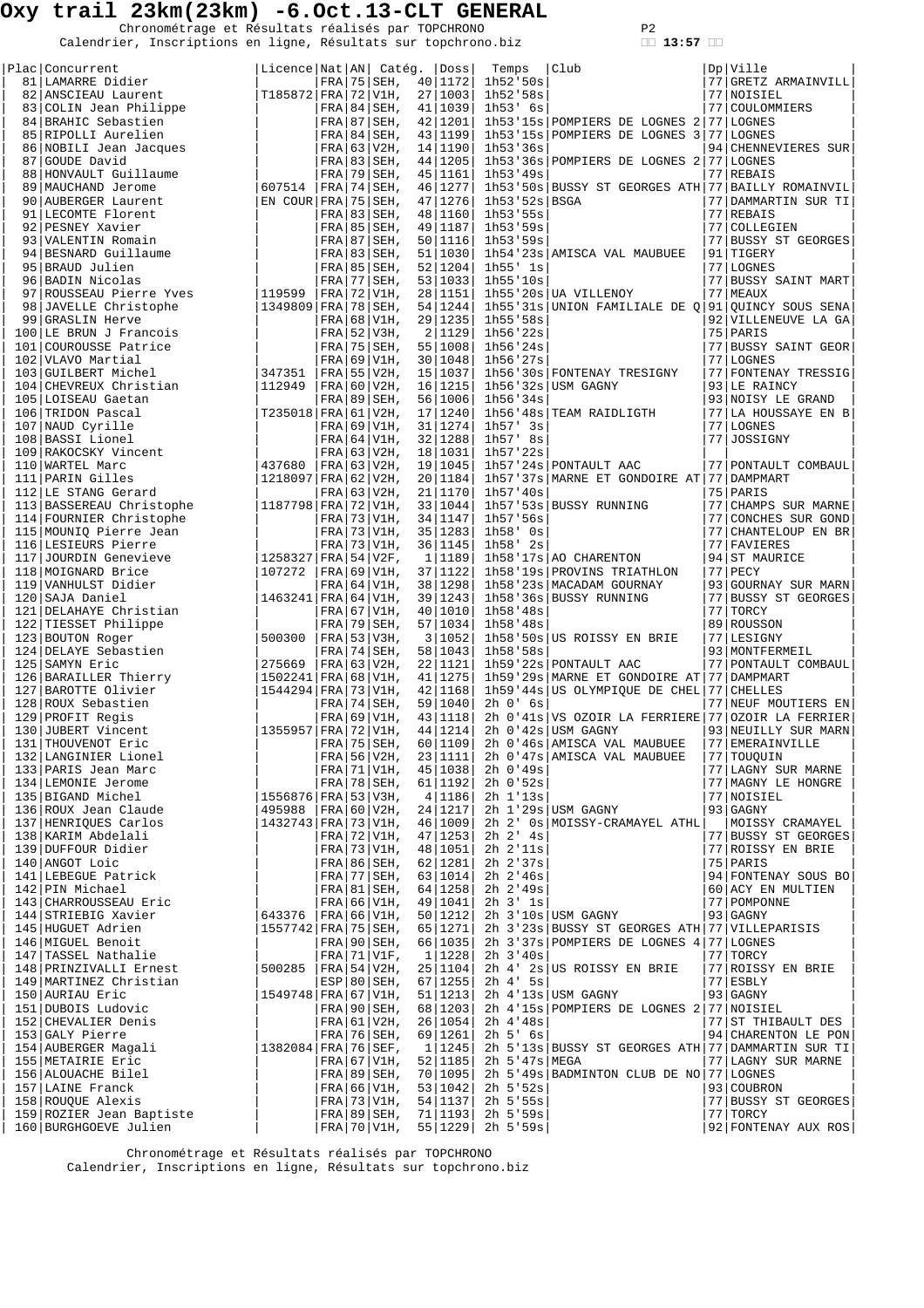Chronométrage et Résultats réalisés par TOPCHRONO P2<br>Calendrier, Inscriptions en ligne, Résultats sur topchrono.biz **13:57** 

| Plac Concurrent                                                                                                                                                                                                                                    | Licence Nat   AN   Catég.   Doss     |  |                              |                          | Temps                                                    | Club                                                                                | Dp Ville                                 |
|----------------------------------------------------------------------------------------------------------------------------------------------------------------------------------------------------------------------------------------------------|--------------------------------------|--|------------------------------|--------------------------|----------------------------------------------------------|-------------------------------------------------------------------------------------|------------------------------------------|
| 81 LAMARRE Didier<br>82   ANSCIEAU Laurent                                                                                                                                                                                                         |                                      |  | $FRA$ 75 SEH,                | 40   1172                | 1h52'50s<br>$[T185872 FRA 72 V1H, 27 1003  1h52'58s$     |                                                                                     | 77 GRETZ ARMAINVILL<br>77 NOISIEL        |
|                                                                                                                                                                                                                                                    |                                      |  | $FRA$ 84 SEH,                | 41   1039                | 1h53' 6s                                                 |                                                                                     | 77 COULOMMIERS                           |
|                                                                                                                                                                                                                                                    |                                      |  | $FRA$ 87 SEH,                | 42   1201                |                                                          | 1h53'15s POMPIERS DE LOGNES 2 77 LOGNES                                             |                                          |
| 83 COLIN Jean Philippe<br>84 BRAHIC Sebastien<br>85 RIPOLLI Aurelien<br>86 NOBILI Jean Jacques<br>87 GOUDE David                                                                                                                                   |                                      |  | FRA 84 SEH,                  | 43   1199                |                                                          | 1h53'15s POMPIERS DE LOGNES 3 77 LOGNES                                             |                                          |
|                                                                                                                                                                                                                                                    |                                      |  | $FRA$ 63 V2H,                | 14   1190                | 1h53'36s                                                 |                                                                                     | 94 CHENNEVIERES SUR                      |
| 87 GOUDE David                                                                                                                                                                                                                                     |                                      |  | FRA 83 SEH,                  | 44   1205                |                                                          | 1h53'36s POMPIERS DE LOGNES 2 77 LOGNES                                             |                                          |
| 88 HONVAULT Guillaume                                                                                                                                                                                                                              |                                      |  | $FRA$ 79 SEH,                | 45   1161                | 1h53'49s                                                 |                                                                                     | 77 REBAIS                                |
| 89   MAUCHAND Jerome                                                                                                                                                                                                                               | 607514   FRA   74   SEH,             |  |                              | 46   1277                |                                                          | 1h53'50s BUSSY ST GEORGES ATH 77 BAILLY ROMAINVIL                                   |                                          |
| 90 AUBERGER Laurent                                                                                                                                                                                                                                | EN COUR FRA 75 SEH,                  |  |                              | 47   1276                | 1h53'52s BSGA                                            |                                                                                     | 77 DAMMARTIN SUR TI                      |
| 91 LECOMTE Florent                                                                                                                                                                                                                                 |                                      |  | $FRA$ 83 SEH,                | 48   1160                | 1h53'55s                                                 |                                                                                     | 77 REBAIS                                |
| 92   PESNEY Xavier                                                                                                                                                                                                                                 |                                      |  | $FRA$ 85 SEH,                | 49   1187                | 1h53'59s                                                 |                                                                                     | 77 COLLEGIEN                             |
| 93 VALENTIN Romain                                                                                                                                                                                                                                 |                                      |  | $FRA$ 87 SEH,                | 50   1116                | 1h53'59s                                                 |                                                                                     | 77 BUSSY ST GEORGES                      |
| 94 BESNARD Guillaume<br>95 BRAUD Julien                                                                                                                                                                                                            |                                      |  | FRA 83 SEH,<br>$FRA$ 85 SEH, | 51   1030  <br>52   1204 | 1h55' 1s                                                 | 1h54'23s AMISCA VAL MAUBUEE                                                         | 91 TIGERY<br>77 LOGNES                   |
| 96 BADIN Nicolas                                                                                                                                                                                                                                   |                                      |  | FRA 77 SEH, 53   1033        |                          | 1h55'10s                                                 |                                                                                     | 77 BUSSY SAINT MART                      |
| 98 JAVELLE Christophe<br>99 JAVELLE Christophe<br>99 GRASLIN Herve<br>99 JAVELLE Herve                                                                                                                                                             |                                      |  | FRA 72 V1H,                  | 28   1151                |                                                          | 1h55'20s UA VILLENOY                                                                | 77 MEAUX                                 |
|                                                                                                                                                                                                                                                    | 1349809 FRA 78 SEH,                  |  |                              | 54   1244                |                                                          | 1h55'31s UNION FAMILIALE DE Q 91 QUINCY SOUS SENA                                   |                                          |
|                                                                                                                                                                                                                                                    |                                      |  | $FRA$ 68 V1H,                | 29   1235                | 1h55'58s                                                 |                                                                                     | 92 VILLENEUVE LA GA                      |
| 100 LE BRUN J Francois                                                                                                                                                                                                                             |                                      |  | $FRA$ 52 V3H,                | 2   1129                 | 1h56'22s                                                 |                                                                                     | 75 PARIS                                 |
| 101 COUROUSSE Patrice                                                                                                                                                                                                                              |                                      |  | $FRA$ 75 SEH,                |                          | 55   1008   1h56 '24s                                    |                                                                                     | 77 BUSSY SAINT GEOR                      |
| 102 VLAVO Martial                                                                                                                                                                                                                                  |                                      |  | $FRA$ 69 V1H,                | 30   1048                | 1h56'27s                                                 |                                                                                     | 77 LOGNES                                |
| 103 GUILBERT Michel                                                                                                                                                                                                                                | 347351                               |  | FRA   55   V2H,              | 15   1037                |                                                          | 1h56'30s FONTENAY TRESIGNY                                                          | 77 FONTENAY TRESSIG                      |
| 104 CHEVREUX Christian                                                                                                                                                                                                                             | 112949                               |  | FRA   60   V2H,              | 16   1215                |                                                          | $1h56$ '32s USM GAGNY                                                               | 93 LE RAINCY                             |
| 105 LOISEAU Gaetan                                                                                                                                                                                                                                 |                                      |  | $FRA$   89   SEH,            | 56   1006                | 1h56'34s                                                 |                                                                                     | 93 NOISY LE GRAND<br>77 LA HOUSSAYE EN B |
| 106 TRIDON Pascal<br>107 NAUD Cyrille                                                                                                                                                                                                              | T235018 FRA 61 V2H,                  |  | $FRA$ 69 V1H,                | 17   1240  <br>31   1274 | $1h57'$ 3s                                               | 1h56'48s TEAM RAIDLIGTH                                                             | 77 LOGNES                                |
| 108 BASSI Lionel                                                                                                                                                                                                                                   |                                      |  | FRA 64 V1H, 32   1288        |                          | 1h57' 8s                                                 |                                                                                     | 77 JOSSIGNY                              |
| 109 RAKOCSKY Vincent                                                                                                                                                                                                                               |                                      |  | $FRA$ 63 V2H,                | 18   1031                | 1h57'22s                                                 |                                                                                     |                                          |
| 110 WARTEL Marc                                                                                                                                                                                                                                    | 437680                               |  | FRA 63 V2H, 19 1045          |                          |                                                          | 1h57'24s PONTAULT AAC                                                               | 77 PONTAULT COMBAUL                      |
| 111 PARIN Gilles                                                                                                                                                                                                                                   | 1218097 FRA 62 V2H,                  |  |                              | 20   1184                |                                                          | 1h57'37s MARNE ET GONDOIRE AT 77 DAMPMART                                           |                                          |
| 112 LE STANG Gerard                                                                                                                                                                                                                                |                                      |  | $FRA$ 63 V2H,                | 21   1170                | 1h57'40s                                                 |                                                                                     | 75 PARIS                                 |
|                                                                                                                                                                                                                                                    | 1187798 FRA 72 V1H,                  |  |                              | 33   1044                |                                                          | 1h57'53s BUSSY RUNNING                                                              | 77 CHAMPS SUR MARNE                      |
|                                                                                                                                                                                                                                                    |                                      |  | $FRA$ 73 V1H,                | 34   1147                | 1h57:56s                                                 |                                                                                     | 77 CONCHES SUR GOND                      |
|                                                                                                                                                                                                                                                    |                                      |  | FRA   73   V1H, 35   1283    |                          | 1h58' Os                                                 |                                                                                     | 77 CHANTELOUP EN BR                      |
|                                                                                                                                                                                                                                                    |                                      |  | $FRA$ 73 V1H,                | 36   1145                | 1h58' 2s                                                 |                                                                                     | 77 FAVIERES                              |
|                                                                                                                                                                                                                                                    | 1258327 FRA 54 V2F,                  |  |                              | 1 1189                   |                                                          | 1h58'17s AO CHARENTON                                                               | 94 ST MAURICE                            |
| 112 LE STANG Gerard<br>113 BASSEREAU Christophe<br>114 FOURNIER Christophe<br>115 MOUNIQ Pierre Jean<br>116 LESIEURS Pierre Jean<br>117 JOURDIN Genevieve<br>117 JOURDIN Genevieve<br>118 MOIGNARD Brice<br>120 SAJA Daniel<br>120 SAJA Daniel<br> | $ 107272 $ FRA 69 V1H,               |  | $FRA$ 64 V1H,                | 37   1122  <br>38   1298 |                                                          | 1h58'19s PROVINS TRIATHLON<br>1h58'23s MACADAM GOURNAY                              | $77$ PECY<br>93 GOURNAY SUR MARN         |
|                                                                                                                                                                                                                                                    | $ 1463241 $ FRA $ 64 V1H, 39 1243 $  |  |                              |                          |                                                          | 1h58'36s BUSSY RUNNING                                                              | 77 BUSSY ST GEORGES                      |
|                                                                                                                                                                                                                                                    |                                      |  | $FRA$ 67 V1H,                | 40   1010                | 1h58'48s                                                 |                                                                                     | 77 TORCY                                 |
|                                                                                                                                                                                                                                                    |                                      |  | $FRA$ 79 SEH,                | 57   1034                | 1h58'48s                                                 |                                                                                     | 89 ROUSSON                               |
|                                                                                                                                                                                                                                                    | 500300                               |  | $ FRA $ 53   V3H,            | 3 1052                   |                                                          | 1h58'50s US ROISSY EN BRIE                                                          | 77 LESIGNY                               |
|                                                                                                                                                                                                                                                    |                                      |  | $FRA$   74   SEH,            | 58   1043                | 1h58'58s                                                 |                                                                                     | 93   MONTFERMEIL                         |
|                                                                                                                                                                                                                                                    | 275669                               |  | $ FRA 63 V2H$ ,              | 22   1121                |                                                          | 1h59'22s PONTAULT AAC                                                               | 77 PONTAULT COMBAUL                      |
|                                                                                                                                                                                                                                                    | $ 1502241 $ FRA $ 68 V1H$ ,          |  |                              | 41   1275                |                                                          | 1h59'29s MARNE ET GONDOIRE AT 77 DAMPMART                                           |                                          |
|                                                                                                                                                                                                                                                    | 1544294 FRA 73 V1H,                  |  |                              | 42   1168                |                                                          | 1h59'44s US OLYMPIQUE DE CHEL 77 CHELLES                                            |                                          |
|                                                                                                                                                                                                                                                    |                                      |  |                              | 59   1040                | $2h$ $0'$ $6s$                                           |                                                                                     | 77 NEUF MOUTIERS EN                      |
| 129 PROFIT Regis                                                                                                                                                                                                                                   |                                      |  | $FRA$ 69 V1H,                | 43   1118                |                                                          | 2h 0'41s VS OZOIR LA FERRIERE 77 OZOIR LA FERRIER                                   |                                          |
| 130 JUBERT Vincent                                                                                                                                                                                                                                 |                                      |  | FRA 75 SEH,                  | 44 1214                  |                                                          | 2h 0'42s USM GAGNY<br>60   1109   2h 0'46s   AMISCA VAL MAUBUEE   77   EMERAINVILLE | 93 NEUILLY SUR MARN                      |
|                                                                                                                                                                                                                                                    |                                      |  |                              | 23 1111                  |                                                          | 2h 0'47s AMISCA VAL MAUBUEE                                                         | 77 TOUQUIN                               |
|                                                                                                                                                                                                                                                    |                                      |  |                              | 45   1038                | 2h 0'49s                                                 |                                                                                     | 77 LAGNY SUR MARNE                       |
|                                                                                                                                                                                                                                                    |                                      |  |                              |                          | FRA 78 SEH, 61 1192  2h 0'52s                            |                                                                                     | 77 MAGNY LE HONGRE                       |
|                                                                                                                                                                                                                                                    |                                      |  |                              |                          | 4 1186  2h 1'13s                                         |                                                                                     | 77 NOISIEL                               |
|                                                                                                                                                                                                                                                    | 495988 FRA 60 V2H, 24 1217           |  |                              |                          |                                                          | $2h$ 1'29s USM GAGNY                                                                | 93 GAGNY                                 |
|                                                                                                                                                                                                                                                    |                                      |  |                              |                          |                                                          | 46 1009  2h 2' Os MOISSY-CRAMAYEL ATHL                                              | MOISSY CRAMAYEL                          |
|                                                                                                                                                                                                                                                    |                                      |  |                              | 47   1253                | 2h 2' 4s                                                 |                                                                                     | 77 BUSSY ST GEORGES                      |
|                                                                                                                                                                                                                                                    |                                      |  | FRA   73   V1H, 48   1051    |                          | $2h$ $2'$ $11s$                                          |                                                                                     | 77 ROISSY EN BRIE                        |
|                                                                                                                                                                                                                                                    |                                      |  | FRA 86 SEH, 62 1281          |                          | $2h$ $2'37s$                                             |                                                                                     | 75 PARIS                                 |
|                                                                                                                                                                                                                                                    |                                      |  |                              | 64   1258                | $FRA$  77   SEH, 63   1014   2h 2'46s  <br>$2h \ 2' 49s$ |                                                                                     | 94 FONTENAY SOUS BO<br>60 ACY EN MULTIEN |
|                                                                                                                                                                                                                                                    |                                      |  | FRA 66 V1H, 49   1041        |                          | $2h$ 3' $1s$                                             |                                                                                     | 77 POMPONNE                              |
|                                                                                                                                                                                                                                                    | $ 643376$  FRA   66   V1H, 50   1212 |  |                              |                          |                                                          | 2h 3'10s USM GAGNY                                                                  | $93$ GAGNY                               |
|                                                                                                                                                                                                                                                    | 1557742 FRA 75 SEH, 65 1271          |  |                              |                          |                                                          | 2h 3'23s BUSSY ST GEORGES ATH 77 VILLEPARISIS                                       |                                          |
|                                                                                                                                                                                                                                                    |                                      |  |                              |                          |                                                          | FRA 90 SEH, 66 1035 2h 3'37s POMPIERS DE LOGNES 4 77 LOGNES                         |                                          |
|                                                                                                                                                                                                                                                    |                                      |  |                              |                          | 1 1228  2h 3'40s                                         |                                                                                     | 77 TORCY                                 |
|                                                                                                                                                                                                                                                    |                                      |  |                              |                          |                                                          | $ 500285 $ FRA $ 54 V2H$ , 25 $ 1104 $ 2h 4' 2s US ROISSY EN BRIE                   | 77 ROISSY EN BRIE                        |
|                                                                                                                                                                                                                                                    |                                      |  |                              |                          | ESP 80 SEH, $67$ 1255 2h 4' 5s                           |                                                                                     | $ 77 $ ESBLY                             |
|                                                                                                                                                                                                                                                    | 1549748 FRA 67 V1H, 51 1213          |  |                              |                          |                                                          | 2h 4'13s USM GAGNY                                                                  | 93   GAGNY                               |
| 129   PROFIT Regis National (1988)<br>130   JUBERT Vincent 1355957   FRA   72   VIH, 131   THOUVENOT Eric 1355957   FRA   75   SEH, 132   LANGIMIDE JEGNE (1988)<br>133   PARIS Jean Marc   FRA   76   SEH, 176   VIH, 188   ROLL                  |                                      |  |                              |                          |                                                          | FRA 90 SEH, 68 1203 2h 4 15s POMPIERS DE LOGNES 2 77 NOISIEL                        |                                          |
|                                                                                                                                                                                                                                                    |                                      |  | FRA   61   V2H, 26   1054    |                          | 2h 4'48s                                                 |                                                                                     | 77 ST THIBAULT DES                       |
|                                                                                                                                                                                                                                                    |                                      |  |                              | 1   1245                 | $FRA   76   SEH, 69   1261   2h 5' 6s  $                 | 2h 5'13s BUSSY ST GEORGES ATH 77 DAMMARTIN SUR TI                                   | 94 CHARENTON LE PON                      |
|                                                                                                                                                                                                                                                    |                                      |  |                              |                          | FRA 67 V1H, 52 1185 2h 5'47s MEGA                        |                                                                                     | 77 LAGNY SUR MARNE                       |
|                                                                                                                                                                                                                                                    |                                      |  |                              |                          |                                                          | $70 1095 $ 2h 5'49s BADMINTON CLUB DE NO 77 LOGNES                                  |                                          |
|                                                                                                                                                                                                                                                    |                                      |  |                              |                          | 53   1042   2h 5'52s                                     |                                                                                     | 93 COUBRON                               |
|                                                                                                                                                                                                                                                    |                                      |  |                              |                          | FRA 73 V1H, 54 1137  2h 5'55s                            |                                                                                     | 77 BUSSY ST GEORGES                      |
| 159 ROZIER Jean Baptiste<br>159 ROZIER Jean Baptiste<br>160 RURGHGOEVE Julien                                                                                                                                                                      |                                      |  | FRA 89 SEH, 71 1193          |                          | 2h 5'59s                                                 |                                                                                     | 77 TORCY                                 |
|                                                                                                                                                                                                                                                    |                                      |  | FRA 70 V1H,                  |                          | $55 1229 $ 2h 5'59s                                      |                                                                                     | 92 FONTENAY AUX ROS                      |

 Chronométrage et Résultats réalisés par TOPCHRONO Calendrier, Inscriptions en ligne, Résultats sur topchrono.biz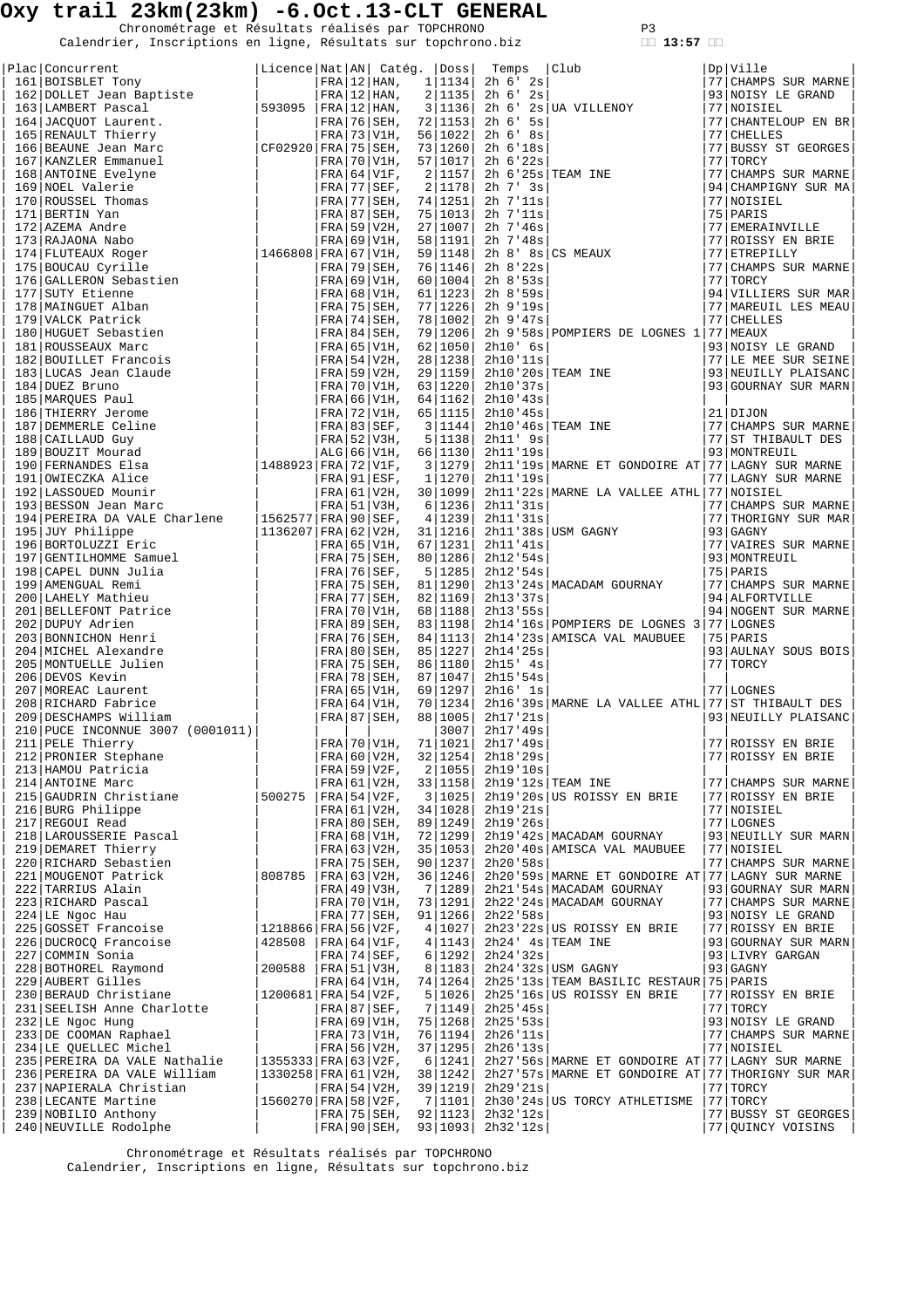Chronométrage et Résultats réalisés par TOPCHRONO P3<br>Calendrier, Inscriptions en ligne, Résultats sur topchrono.biz **13:57** 

|                                                                                                                                                                                                                                            |                             |  |                                   |                     | Temps                                | $\begin{array}{c}\n\boxed{\text{Club}} \\ \boxed{\phantom{\text{Club}}} \\ \end{array}$ | Dp Ville                                   |
|--------------------------------------------------------------------------------------------------------------------------------------------------------------------------------------------------------------------------------------------|-----------------------------|--|-----------------------------------|---------------------|--------------------------------------|-----------------------------------------------------------------------------------------|--------------------------------------------|
|                                                                                                                                                                                                                                            |                             |  |                                   |                     | FRA $ 12 $ HAN, $1 1134 $ 2h 6' 2s   |                                                                                         | 77 CHAMPS SUR MARNE                        |
|                                                                                                                                                                                                                                            |                             |  |                                   |                     | $2 1135 $ 2h 6' 2s                   |                                                                                         | 93 NOISY LE GRAND                          |
|                                                                                                                                                                                                                                            |                             |  |                                   |                     |                                      | 3 1136  2h 6' 2s UA VILLENOY                                                            | 77   NOISIEL                               |
|                                                                                                                                                                                                                                            |                             |  |                                   |                     | $2h$ 6' 5s                           |                                                                                         | 77 CHANTELOUP EN BR                        |
|                                                                                                                                                                                                                                            |                             |  |                                   |                     | 2h 6' 8s                             |                                                                                         | 77 CHELLES                                 |
|                                                                                                                                                                                                                                            |                             |  |                                   |                     | $2h$ 6'18s                           |                                                                                         | 77 BUSSY ST GEORGES                        |
|                                                                                                                                                                                                                                            |                             |  |                                   |                     | 2h 6'22s                             |                                                                                         | 77 TORCY                                   |
|                                                                                                                                                                                                                                            |                             |  |                                   |                     | 2h 7' 3s                             | $2 1157 $ 2h 6'25s TEAM INE<br>21178 2h 7' 3s                                           | 77 CHAMPS SUR MARNE<br>94 CHAMPIGNY SUR MA |
|                                                                                                                                                                                                                                            |                             |  |                                   |                     | 2h 7'11s                             |                                                                                         | 77 NOISIEL                                 |
|                                                                                                                                                                                                                                            |                             |  |                                   |                     | $2h$ 7'11s                           |                                                                                         | 75 PARIS                                   |
|                                                                                                                                                                                                                                            |                             |  |                                   |                     | $2h$ 7'46s                           |                                                                                         | 77 EMERAINVILLE                            |
|                                                                                                                                                                                                                                            |                             |  |                                   |                     | 2h 7'48s                             |                                                                                         | 77 ROISSY EN BRIE                          |
|                                                                                                                                                                                                                                            |                             |  |                                   |                     |                                      | $2h \left. 8 \right $ $8s \left $ CS MEAUX                                              | 77 ETREPILLY                               |
|                                                                                                                                                                                                                                            |                             |  |                                   |                     | 76 1146 2h 8'22s                     |                                                                                         | 77 CHAMPS SUR MARNE                        |
|                                                                                                                                                                                                                                            |                             |  |                                   |                     | 2h 8'53s                             |                                                                                         | 77 TORCY                                   |
|                                                                                                                                                                                                                                            |                             |  |                                   |                     | $2h \ 8.59s$                         |                                                                                         | 94 VILLIERS SUR MAR                        |
|                                                                                                                                                                                                                                            |                             |  |                                   |                     | FRA 75 SEH, 77 1226 2h 9'19s         |                                                                                         | 77   MAREUIL LES MEAU                      |
|                                                                                                                                                                                                                                            |                             |  |                                   |                     | 2h 9'47s                             |                                                                                         | 77 CHELLES                                 |
|                                                                                                                                                                                                                                            |                             |  |                                   |                     |                                      | $ FRA 84 SEH$ , 79 1206 2h 9'58s POMPIERS DE LOGNES 1 77 MEAUX                          |                                            |
|                                                                                                                                                                                                                                            |                             |  |                                   |                     | 2h10' 6s                             | 2h10' 6s<br>2h10'11s<br>2h10'20s TEAM INE                                               | 93 NOISY LE GRAND                          |
|                                                                                                                                                                                                                                            |                             |  |                                   |                     | 28 1238  2h10'11s                    |                                                                                         | 77 LE MEE SUR SEINE                        |
|                                                                                                                                                                                                                                            |                             |  |                                   |                     |                                      |                                                                                         | 93 NEUILLY PLAISANC                        |
|                                                                                                                                                                                                                                            |                             |  |                                   |                     | 2h10'37s                             |                                                                                         | 93 GOURNAY SUR MARN                        |
|                                                                                                                                                                                                                                            |                             |  |                                   |                     | FRA   66   V1H, 64   1162   2h10'43s |                                                                                         | $21$ DIJON                                 |
|                                                                                                                                                                                                                                            |                             |  |                                   |                     | 2h10'45s                             | $3 1144 $ 2h10'46s TEAM INE                                                             | 77 CHAMPS SUR MARNE                        |
|                                                                                                                                                                                                                                            |                             |  |                                   |                     | 2h11' 9s                             |                                                                                         | 77 ST THIBAULT DES                         |
|                                                                                                                                                                                                                                            |                             |  |                                   |                     | 2h11'19s                             |                                                                                         | 93 MONTREUIL                               |
|                                                                                                                                                                                                                                            |                             |  |                                   |                     |                                      | 2h11'19s MARNE ET GONDOIRE AT 77 LAGNY SUR MARNE                                        |                                            |
|                                                                                                                                                                                                                                            |                             |  |                                   |                     | 2h11'19s                             |                                                                                         | 77 LAGNY SUR MARNE                         |
|                                                                                                                                                                                                                                            |                             |  |                                   |                     |                                      | $\texttt{[FRA 61 V2H, 30 1099]}$ 2h11'22s MARNE LA VALLEE ATHL 77 NOISIEL               |                                            |
|                                                                                                                                                                                                                                            |                             |  |                                   |                     | 2h11'31s                             |                                                                                         | 77 CHAMPS SUR MARNE                        |
| 194   PEREIRA DA VALE Charlene   1562577   FRA   90   SEF,                                                                                                                                                                                 |                             |  |                                   | 4   1239            | 2h11'31s                             |                                                                                         | 77 THORIGNY SUR MAR                        |
|                                                                                                                                                                                                                                            | $ 1136207 $ FRA $ 62 V2H$ , |  |                                   | 31   1216           |                                      | $2h11$ '38s USM GAGNY                                                                   | $93$ GAGNY                                 |
|                                                                                                                                                                                                                                            |                             |  |                                   | FRA 65 V1H, 67 1231 | 2h11'41s                             |                                                                                         | 77 VAIRES SUR MARNE                        |
|                                                                                                                                                                                                                                            |                             |  |                                   |                     | FRA 75 SEH, 80 1286 2h12'54s         |                                                                                         | 93 MONTREUIL                               |
|                                                                                                                                                                                                                                            |                             |  | $ FRA 76 SEF$ ,                   | 5   1285            | 2h12'54s                             |                                                                                         | 75 PARIS                                   |
|                                                                                                                                                                                                                                            |                             |  | $FRA$ 75 SEH,                     |                     |                                      | 81   1290   2h13 '24s   MACADAM GOURNAY                                                 | 77 CHAMPS SUR MARNE                        |
| 194   PEREIRA DA VALE Charlene   156<br>195   JUY Philippe   113<br>196   BORTOLUZZI Eric   113<br>197   GENTILHOMME Samuel   198   CAPEL DUNN Julia<br>199   AMEENGUAL Remi<br>200   LAHELY Mathieu<br>201   BELLEFONT Patrice   202   DU |                             |  | FRA 77 SEH,                       | 82   1169           | 2h13'37s                             |                                                                                         | 94 ALFORTVILLE                             |
|                                                                                                                                                                                                                                            |                             |  | $FRA$ 70 V1H,                     | 68   1188           | 2h13'55s                             |                                                                                         | 94 NOGENT SUR MARNE                        |
|                                                                                                                                                                                                                                            |                             |  | FRA 89 SEH,                       | 83   1198           |                                      | 2h14'16s POMPIERS DE LOGNES 3 77 LOGNES                                                 |                                            |
|                                                                                                                                                                                                                                            |                             |  | FRA 76 SEH,                       | 84   1113           |                                      | 2h14'23s AMISCA VAL MAUBUEE                                                             | 75 PARIS                                   |
|                                                                                                                                                                                                                                            |                             |  | FRA 80 SEH,                       |                     | 85 1227  2h14'25s                    |                                                                                         | 93 AULNAY SOUS BOIS                        |
|                                                                                                                                                                                                                                            |                             |  | FRA 75 SEH,                       | 86   1180           | 2h15' 4s                             |                                                                                         | 77 TORCY                                   |
|                                                                                                                                                                                                                                            |                             |  | FRA 78 SEH,                       | 87   1047           | 2h15'54s                             |                                                                                         |                                            |
|                                                                                                                                                                                                                                            |                             |  | $ FRA $ 65 $ V1H$ ,               | 69   1297           | 2h16' 1s                             |                                                                                         | 77 LOGNES                                  |
| 209 DESCHAMPS William                                                                                                                                                                                                                      |                             |  | $ FRA $ 64   V1H,<br> FRA 87 SEH, | 70   1234           | 88 1005  2h17'21s                    | 2h16'39s MARNE LA VALLEE ATHL 77 ST THIBAULT DES                                        | 93 NEUILLY PLAISANC                        |
| 210 PUCE INCONNUE 3007 (0001011)                                                                                                                                                                                                           |                             |  |                                   | 3007                | 2h17/49s                             |                                                                                         |                                            |
|                                                                                                                                                                                                                                            |                             |  |                                   |                     |                                      |                                                                                         |                                            |
|                                                                                                                                                                                                                                            |                             |  |                                   |                     |                                      |                                                                                         |                                            |
|                                                                                                                                                                                                                                            |                             |  |                                   |                     |                                      |                                                                                         |                                            |
|                                                                                                                                                                                                                                            |                             |  |                                   |                     |                                      |                                                                                         |                                            |
|                                                                                                                                                                                                                                            |                             |  |                                   |                     |                                      |                                                                                         |                                            |
|                                                                                                                                                                                                                                            |                             |  |                                   |                     |                                      |                                                                                         |                                            |
|                                                                                                                                                                                                                                            |                             |  |                                   |                     |                                      |                                                                                         |                                            |
|                                                                                                                                                                                                                                            |                             |  |                                   |                     |                                      |                                                                                         |                                            |
|                                                                                                                                                                                                                                            |                             |  |                                   |                     |                                      |                                                                                         |                                            |
|                                                                                                                                                                                                                                            |                             |  |                                   |                     |                                      |                                                                                         |                                            |
|                                                                                                                                                                                                                                            |                             |  |                                   |                     |                                      |                                                                                         |                                            |
|                                                                                                                                                                                                                                            |                             |  |                                   |                     |                                      |                                                                                         |                                            |
|                                                                                                                                                                                                                                            |                             |  |                                   |                     |                                      |                                                                                         |                                            |
|                                                                                                                                                                                                                                            |                             |  |                                   |                     |                                      |                                                                                         |                                            |
|                                                                                                                                                                                                                                            |                             |  |                                   |                     |                                      |                                                                                         |                                            |
|                                                                                                                                                                                                                                            |                             |  |                                   |                     |                                      |                                                                                         |                                            |
|                                                                                                                                                                                                                                            |                             |  |                                   |                     |                                      |                                                                                         |                                            |
|                                                                                                                                                                                                                                            |                             |  |                                   |                     |                                      |                                                                                         |                                            |
|                                                                                                                                                                                                                                            |                             |  |                                   |                     |                                      |                                                                                         |                                            |
|                                                                                                                                                                                                                                            |                             |  |                                   |                     |                                      |                                                                                         |                                            |
|                                                                                                                                                                                                                                            |                             |  |                                   |                     |                                      |                                                                                         |                                            |
|                                                                                                                                                                                                                                            |                             |  |                                   |                     |                                      |                                                                                         |                                            |
|                                                                                                                                                                                                                                            |                             |  |                                   |                     |                                      |                                                                                         |                                            |
|                                                                                                                                                                                                                                            |                             |  |                                   |                     |                                      |                                                                                         |                                            |
|                                                                                                                                                                                                                                            |                             |  |                                   |                     |                                      |                                                                                         |                                            |
|                                                                                                                                                                                                                                            |                             |  |                                   |                     |                                      |                                                                                         |                                            |
|                                                                                                                                                                                                                                            |                             |  |                                   |                     |                                      |                                                                                         |                                            |
|                                                                                                                                                                                                                                            |                             |  |                                   |                     |                                      |                                                                                         |                                            |
|                                                                                                                                                                                                                                            |                             |  |                                   |                     |                                      |                                                                                         |                                            |

 Chronométrage et Résultats réalisés par TOPCHRONO Calendrier, Inscriptions en ligne, Résultats sur topchrono.biz